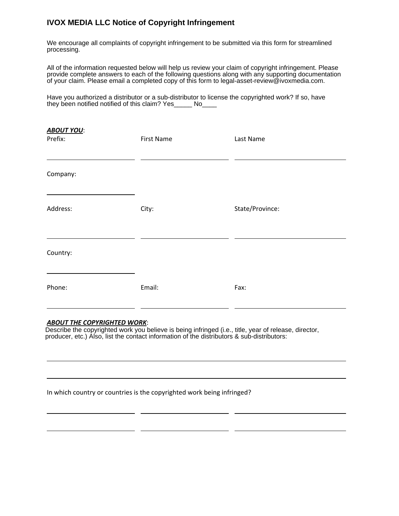## **IVOX MEDIA LLC Notice of Copyright Infringement**

We encourage all complaints of copyright infringement to be submitted via this form for streamlined processing.

All of the information requested below will help us review your claim of copyright infringement. Please provide complete answers to each of the following questions along with any supporting documentation of your claim. Please email a completed copy of this form to legal-asset-review@ivoxmedia.com.

Have you authorized a distributor or a sub-distributor to license the copyrighted work? If so, have they been notified notified of this claim? Yes\_\_\_\_\_ No\_\_\_\_

| <b>ABOUT YOU:</b><br>Prefix: | <b>First Name</b> | Last Name       |
|------------------------------|-------------------|-----------------|
| Company:                     |                   |                 |
| Address:                     | City:             | State/Province: |
| Country:                     |                   |                 |
| Phone:                       | Email:            | Fax:            |

## *ABOUT THE COPYRIGHTED WORK*:

Describe Describe the copyrighted work you believe is being infringed (i.e., title, year of release, director, producer, etc.): producer, etc.) Also, list the contact information of the distributors & sub-distributors:

<u> 1989 - Johann Stoff, deutscher Stoffen und der Stoffen und der Stoffen und der Stoffen und der Stoffen und d</u>

## In which country or countries is the copyrighted work being infringed?